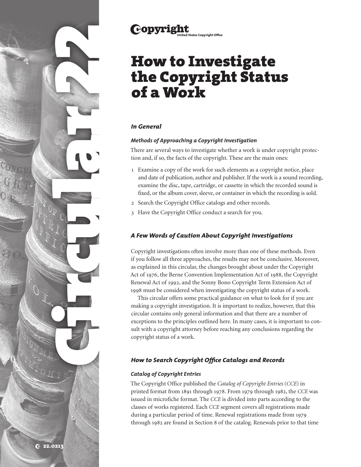

# **Copyright**

# How to Investigate the Copyright Status of a Work

# *In General*

## *Methods of Approaching a Copyright Investigation*

There are several ways to investigate whether a work is under copyright protection and, if so, the facts of the copyright. These are the main ones:

- 1 Examine a copy of the work for such elements as a copyright notice, place and date of publication, author and publisher. If the work is a sound recording, examine the disc, tape, cartridge, or cassette in which the recorded sound is fixed, or the album cover, sleeve, or container in which the recording is sold.
- 2 Search the Copyright Office catalogs and other records.
- 3 Have the Copyright Office conduct a search for you.

# *A Few Words of Caution About Copyright Investigations*

Copyright investigations often involve more than one of these methods. Even if you follow all three approaches, the results may not be conclusive. Moreover, as explained in this circular, the changes brought about under the Copyright Act of 1976, the Berne Convention Implementation Act of 1988, the Copyright Renewal Act of 1992, and the Sonny Bono Copyright Term Extension Act of 1998 must be considered when investigating the copyright status of a work.

This circular offers some practical guidance on what to look for if you are making a copyright investigation. It is important to realize, however, that this circular contains only general information and that there are a number of exceptions to the principles outlined here. In many cases, it is important to consult with a copyright attorney before reaching any conclusions regarding the copyright status of a work.

# *How to Search Copyright Office Catalogs and Records*

# *Catalog of Copyright Entries*

The Copyright Office published the *Catalog of Copyright Entries* (*CCE*) in printed format from 1891 through 1978. From 1979 through 1982, the *CCE* was issued in microfiche format. The *CCE* is divided into parts according to the classes of works registered. Each *CCE* segment covers all registrations made during a particular period of time. Renewal registrations made from 1979 through 1982 are found in Section 8 of the catalog. Renewals prior to that time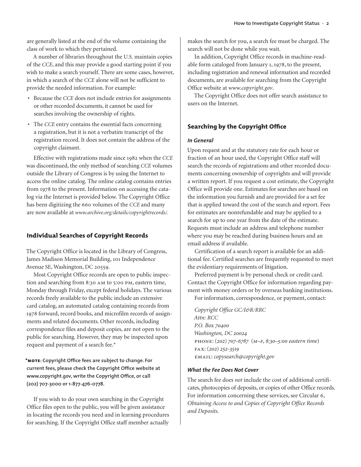are generally listed at the end of the volume containing the class of work to which they pertained.

A number of libraries throughout the U.S. maintain copies of the *CCE*, and this may provide a good starting point if you wish to make a search yourself. There are some cases, however, in which a search of the *CCE* alone will not be sufficient to provide the needed information. For example:

- Because the *CCE* does not include entries for assignments or other recorded documents, it cannot be used for searches involving the ownership of rights.
- The *CCE* entry contains the essential facts concerning a registration, but it is not a verbatim transcript of the registration record. It does not contain the address of the copyright claimant.

Effective with registrations made since 1982 when the *CCE* was discontinued, the only method of searching *CCE* volumes outside the Library of Congress is by using the Internet to access the online catalog. The online catalog contains entries from 1978 to the present. Information on accessing the catalog via the Internet is provided below. The Copyright Office has been digitizing the 660 volumes of the *CCE* and many are now available at *www.archive.org/details/copyrightrecords/.*

## **Individual Searches of Copyright Records**

The Copyright Office is located in the Library of Congress, James Madison Memorial Building, 101 Independence Avenue SE, Washington, DC 20559.

Most Copyright Office records are open to public inspection and searching from 8:30 am to 5:00 pm, eastern time, Monday through Friday, except federal holidays. The various records freely available to the public include an extensive card catalog, an automated catalog containing records from 1978 forward, record books, and microfilm records of assignments and related documents. Other records, including correspondence files and deposit copies, are not open to the public for searching. However, they may be inspected upon request and payment of a search fee.\*

**\*note: Copyright Office fees are subject to change. For current fees, please check the Copyright Office website at www.copyright.gov, write the Copyright Office, or call (202) 707‑3000 or 1-877-476-0778.**

If you wish to do your own searching in the Copyright Office files open to the public, you will be given assistance in locating the records you need and in learning procedures for searching. If the Copyright Office staff member actually makes the search for you, a search fee must be charged. The search will not be done while you wait.

In addition, Copyright Office records in machine-readable form cataloged from January 1, 1978, to the present, including registration and renewal information and recorded documents, are available for searching from the Copyright Office website at *www.copyright.gov*.

The Copyright Office does not offer search assistance to users on the Internet.

## **Searching by the Copyright Office**

#### *In General*

Upon request and at the statutory rate for each hour or fraction of an hour used, the Copyright Office staff will search the records of registrations and other recorded documents concerning ownership of copyrights and will provide a written report. If you request a cost estimate, the Copyright Office will provide one. Estimates for searches are based on the information you furnish and are provided for a set fee that is applied toward the cost of the search and report. Fees for estimates are nonrefundable and may be applied to a search for up to one year from the date of the estimate. Requests must include an address and telephone number where you may be reached during business hours and an email address if available.

Certification of a search report is available for an additional fee. Certified searches are frequently requested to meet the evidentiary requirements of litigation.

Preferred payment is by personal check or credit card. Contact the Copyright Office for information regarding payment with money orders or by overseas banking institutions. For information, correspondence, or payment, contact:

*Copyright Office GC/I&R/RRC Attn: RCC P.O. Box 70400 Washington, DC 20024* phone: *(202) 707-6787* (*m–f, 8:30–5:00 eastern time*) fax: *(202) 252-3519* email: *copysearch@copyright.gov*

#### *What the Fee Does Not Cover*

The search fee does *not* include the cost of additional certificates, photocopies of deposits, or copies of other Office records. For information concerning these services, see Circular 6, *Obtaining Access to and Copies of Copyright Office Records and Deposits*.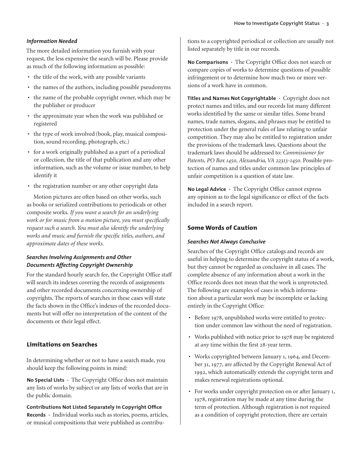## *Information Needed*

The more detailed information you furnish with your request, the less expensive the search will be. Please provide as much of the following information as possible:

- the title of the work, with any possible variants
- the names of the authors, including possible pseudonyms
- the name of the probable copyright owner, which may be the publisher or producer
- the approximate year when the work was published or registered
- the type of work involved (book, play, musical composition, sound recording, photograph, etc.)
- for a work originally published as a part of a periodical or collection, the title of that publication and any other information, such as the volume or issue number, to help identify it
- the registration number or any other copyright data

Motion pictures are often based on other works, such as books or serialized contributions to periodicals or other composite works. *If you want a search for an underlying work or for music from a motion picture, you must specifically request such a search. You must also identify the underlying works and music and furnish the specific titles, authors, and approximate dates of these works.*

## *Searches Involving Assignments and Other Documents Affecting Copyright Ownership*

For the standard hourly search fee, the Copyright Office staff will search its indexes covering the records of assignments and other recorded documents concerning ownership of copyrights. The reports of searches in these cases will state the facts shown in the Office's indexes of the recorded documents but will offer no interpretation of the content of the documents or their legal effect.

# **Limitations on Searches**

In determining whether or not to have a search made, you should keep the following points in mind:

**No Special Lists ·** The Copyright Office does not maintain any lists of works by subject or any lists of works that are in the public domain.

**Contributions Not Listed Separately in Copyright Office Records ·** Individual works such as stories, poems, articles, or musical compositions that were published as contributions to a copyrighted periodical or collection are usually not listed separately by title in our records.

**No Comparisons ·** The Copyright Office does not search or compare copies of works to determine questions of possible infringement or to determine how much two or more versions of a work have in common.

**Titles and Names Not Copyrightable ·** Copyright does not protect names and titles, and our records list many different works identified by the same or similar titles. Some brand names, trade names, slogans, and phrases may be entitled to protection under the general rules of law relating to unfair competition. They may also be entitled to registration under the provisions of the trademark laws. Questions about the trademark laws should be addressed to: *Commissioner for Patents, PO Box 1450, Alexandria, VA 22313-1450*. Possible protection of names and titles under common law principles of unfair competition is a question of state law.

**No Legal Advice ·** The Copyright Office cannot express any opinion as to the legal significance or effect of the facts included in a search report.

# **Some Words of Caution**

## *Searches Not Always Conclusive*

Searches of the Copyright Office catalogs and records are useful in helping to determine the copyright status of a work, but they cannot be regarded as conclusive in all cases. The complete absence of any information about a work in the Office records does not mean that the work is unprotected. The following are examples of cases in which information about a particular work may be incomplete or lacking entirely in the Copyright Office:

- Before 1978, unpublished works were entitled to protection under common law without the need of registration.
- Works published with notice prior to 1978 may be registered at *any* time within the first 28-year term.
- Works copyrighted between January 1, 1964, and December 31, 1977, are affected by the Copyright Renewal Act of 1992, which automatically extends the copyright term and makes renewal registrations optional.
- For works under copyright protection on or after January 1, 1978, registration may be made at any time during the term of protection. Although registration is not required as a condition of copyright protection, there are certain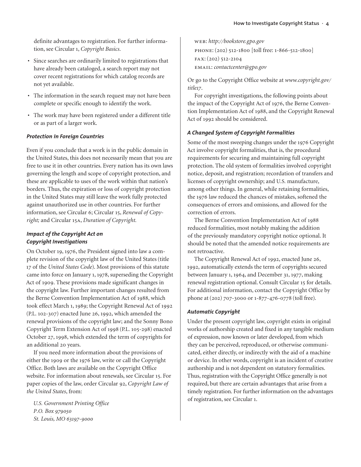definite advantages to registration. For further information, see Circular 1, *Copyright Basics*.

- Since searches are ordinarily limited to registrations that have already been cataloged, a search report may not cover recent registrations for which catalog records are not yet available.
- The information in the search request may not have been complete or specific enough to identify the work.
- The work may have been registered under a different title or as part of a larger work.

## *Protection in Foreign Countries*

Even if you conclude that a work is in the public domain in the United States, this does not necessarily mean that you are free to use it in other countries. Every nation has its own laws governing the length and scope of copyright protection, and these are applicable to uses of the work within that nation's borders. Thus, the expiration or loss of copyright protection in the United States may still leave the work fully protected against unauthorized use in other countries. For further information, see Circular 6; Circular 15, *Renewal of Copyright;* and Circular 15a, *Duration of Copyright.*

## *Impact of the Copyright Act on Copyright Investigations*

On October 19, 1976, the President signed into law a complete revision of the copyright law of the United States (title 17 of the *United States Code*). Most provisions of this statute came into force on January 1, 1978, superseding the Copyright Act of 1909. These provisions made significant changes in the copyright law. Further important changes resulted from the Berne Convention Implementation Act of 1988, which took effect March 1, 1989; the Copyright Renewal Act of 1992 (P.L. 102-307) enacted June 26, 1992, which amended the renewal provisions of the copyright law; and the Sonny Bono Copyright Term Extension Act of 1998 (P.L. 105-298) enacted October 27, 1998, which extended the term of copyrights for an additional 20 years.

If you need more information about the provisions of either the 1909 or the 1976 law, write or call the Copyright Office. Both laws are available on the Copyright Office website. For information about renewals, see Circular 15. For paper copies of the law, order Circular 92, *Copyright Law of the United States*, from:

*U.S. Government Printing Office P.O. Box 979050 St. Louis, MO 63197-9000*

web: *http://bookstore.gpo.gov* phone: (202) 512-1800 [toll free: 1-866-512-1800] fax: (202) 512-2104 email: *contactcenter@gpo.gov*

Or go to the Copyright Office website at *www.copyright.gov/ title17*.

For copyright investigations, the following points about the impact of the Copyright Act of 1976, the Berne Convention Implementation Act of 1988, and the Copyright Renewal Act of 1992 should be considered.

#### *A Changed System of Copyright Formalities*

Some of the most sweeping changes under the 1976 Copyright Act involve copyright formalities, that is, the procedural requirements for securing and maintaining full copyright protection. The old system of formalities involved copyright notice, deposit, and registration; recordation of transfers and licenses of copyright ownership; and U.S. manufacture, among other things. In general, while retaining formalities, the 1976 law reduced the chances of mistakes, softened the consequences of errors and omissions, and allowed for the correction of errors.

The Berne Convention Implementation Act of 1988 reduced formalities, most notably making the addition of the previously mandatory copyright notice optional. It should be noted that the amended notice requirements are not retroactive.

The Copyright Renewal Act of 1992, enacted June 26, 1992, automatically extends the term of copyrights secured between January 1, 1964, and December 31, 1977, making renewal registration optional. Consult Circular 15 for details. For additional information, contact the Copyright Office by phone at (202) 707-3000 or 1-877-476-0778 (toll free).

#### *Automatic Copyright*

Under the present copyright law, copyright exists in original works of authorship created and fixed in any tangible medium of expression, now known or later developed, from which they can be perceived, reproduced, or otherwise communicated, either directly, or indirectly with the aid of a machine or device. In other words, copyright is an incident of creative authorship and is not dependent on statutory formalities. Thus, registration with the Copyright Office generally is not required, but there are certain advantages that arise from a timely registration. For further information on the advantages of registration, see Circular 1.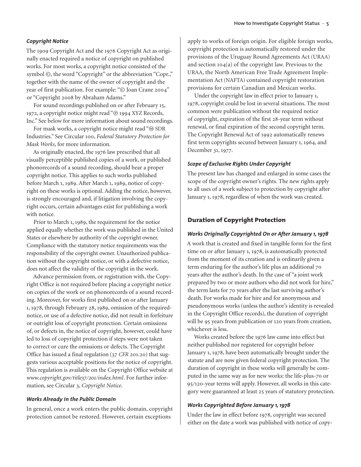#### *Copyright Notice*

The 1909 Copyright Act and the 1976 Copyright Act as originally enacted required a notice of copyright on published works. For most works, a copyright notice consisted of the symbol  $\odot$ , the word "Copyright" or the abbreviation "Copr.," together with the name of the owner of copyright and the year of first publication. For example: "© Joan Crane 2004" or "Copyright 2008 by Abraham Adams."

For sound recordings published on or after February 15, 1972, a copyright notice might read "® 1994 XYZ Records, Inc." See below for more information about sound recordings.

For mask works, a copyright notice might read " $@$  SDR Industries." See Circular 100, *Federal Statutory Protection for Mask Works*, for more information.

As originally enacted, the 1976 law prescribed that all visually perceptible published copies of a work, or published phonorecords of a sound recording, should bear a proper copyright notice. This applies to such works published before March 1, 1989. After March 1, 1989, notice of copyright on these works is optional. Adding the notice, however, is strongly encouraged and, if litigation involving the copyright occurs, certain advantages exist for publishing a work with notice.

Prior to March 1, 1989, the requirement for the notice applied equally whether the work was published in the United States or elsewhere by authority of the copyright owner. Compliance with the statutory notice requirements was the responsibility of the copyright owner. Unauthorized publication without the copyright notice, or with a defective notice, does not affect the validity of the copyright in the work.

Advance permission from, or registration with, the Copyright Office is not required before placing a copyright notice on copies of the work or on phonorecords of a sound recording. Moreover, for works first published on or after January 1, 1978, through February 28, 1989, omission of the requirednotice, or use of a defective notice, did not result in forfeiture or outright loss of copyright protection. Certain omissions of, or defects in, the notice of copyright, however, could have led to loss of copyright protection if steps were not taken to correct or cure the omissions or defects. The Copyright Office has issued a final regulation (37 *CFR* 201.20) that suggests various acceptable positions for the notice of copyright. This regulation is available on the Copyright Office website at *www.copyright.gov/title37/201/index.html*. For further information, see Circular 3, *Copyright Notice*.

#### *Works Already in the Public Domain*

In general, once a work enters the public domain, copyright protection cannot be restored. However, certain exceptions

apply to works of foreign origin. For eligible foreign works, copyright protection is automatically restored under the provisions of the Uruguay Round Agreements Act (URAA) and section 104(a) of the copyright law. Previous to the URAA, the North American Free Trade Agreement Implementation Act (NAFTA) contained copyright restoration provisions for certain Canadian and Mexican works.

Under the copyright law in effect prior to January 1, 1978, copyright could be lost in several situations. The most common were publication without the required notice of copyright, expiration of the first 28-year term without renewal, or final expiration of the second copyright term. The Copyright Renewal Act of 1992 automatically renews first term copyrights secured between January 1, 1964, and December 31, 1977.

#### *Scope of Exclusive Rights Under Copyright*

The present law has changed and enlarged in some cases the scope of the copyright owner's rights. The new rights apply to all uses of a work subject to protection by copyright after January 1, 1978, regardless of when the work was created.

#### **Duration of Copyright Protection**

#### *Works Originally Copyrighted On or After January 1, 1978*

A work that is created and fixed in tangible form for the first time on or after January 1, 1978, is automatically protected from the moment of its creation and is ordinarily given a term enduring for the author's life plus an additional 70 years after the author's death. In the case of "a joint work prepared by two or more authors who did not work for hire," the term lasts for 70 years after the last surviving author's death. For works made for hire and for anonymous and pseudonymous works (unless the author's identity is revealed in the Copyright Office records), the duration of copyright will be 95 years from publication or 120 years from creation, whichever is less.

Works created before the 1976 law came into effect but neither published nor registered for copyright before January 1, 1978, have been automatically brought under the statute and are now given federal copyright protection. The duration of copyright in these works will generally be computed in the same way as for new works: the life-plus-70 or 95/120-year terms will apply. However, all works in this category were guaranteed at least 25 years of statutory protection.

### *Works Copyrighted Before January 1, 1978*

Under the law in effect before 1978, copyright was secured either on the date a work was published with notice of copy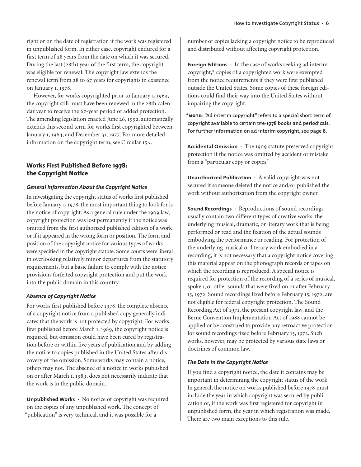right or on the date of registration if the work was registered in unpublished form. In either case, copyright endured for a first term of 28 years from the date on which it was secured. During the last (28th) year of the first term, the copyright was eligible for renewal. The copyright law extends the renewal term from 28 to 67 years for copyrights in existence on January 1, 1978.

However, for works copyrighted prior to January 1, 1964, the copyright still must have been renewed in the 28th calendar year to receive the 67-year period of added protection. The amending legislation enacted June 26, 1992, automatically extends this second term for works first copyrighted between January 1, 1964, and December 31, 1977. For more detailed information on the copyright term, see Circular 15a.

# **Works First Published Before 1978: the Copyright Notice**

## *General Information About the Copyright Notice*

In investigating the copyright status of works first published before January 1, 1978, the most important thing to look for is the notice of copyright. As a general rule under the 1909 law, copyright protection was lost permanently if the notice was omitted from the first authorized published edition of a work or if it appeared in the wrong form or position. The form and position of the copyright notice for various types of works were specified in the copyright statute. Some courts were liberal in overlooking relatively minor departures from the statutory requirements, but a basic failure to comply with the notice provisions forfeited copyright protection and put the work into the public domain in this country.

## *Absence of Copyright Notice*

For works first published before 1978, the complete absence of a copyright notice from a published copy generally indicates that the work is not protected by copyright. For works first published before March 1, 1989, the copyright notice is required, but omission could have been cured by registration before or within five years of publication and by adding the notice to copies published in the United States after discovery of the omission. Some works may contain a notice, others may not. The absence of a notice in works published on or after March 1, 1989, does not necessarily indicate that the work is in the public domain.

**Unpublished Works ·** No notice of copyright was required on the copies of any unpublished work. The concept of "publication" is very technical, and it was possible for a

number of copies lacking a copyright notice to be reproduced and distributed without affecting copyright protection.

**Foreign Editions ·** In the case of works seeking ad interim copyright,\* copies of a copyrighted work were exempted from the notice requirements if they were first published outside the United States. Some copies of these foreign editions could find their way into the United States without impairing the copyright.

**\*note: "Ad interim copyright" refers to a special short term of copyright available to certain pre-1978 books and periodicals. For further information on ad interim copyright, see page 8.**

**Accidental Omission ·** The 1909 statute preserved copyright protection if the notice was omitted by accident or mistake from a "particular copy or copies."

**Unauthorized Publication ·** A valid copyright was not secured if someone deleted the notice and/or published the work without authorization from the copyright owner.

**Sound Recordings ·** Reproductions of sound recordings usually contain two different types of creative works: the underlying musical, dramatic, or literary work that is being performed or read and the fixation of the actual sounds embodying the performance or reading. For protection of the underlying musical or literary work embodied in a recording, it is not necessary that a copyright notice covering this material appear on the phonograph records or tapes on which the recording is reproduced. A special notice is required for protection of the recording of a series of musical, spoken, or other sounds that were fixed on or after February 15, 1972. Sound recordings fixed before February 15, 1972, are not eligible for federal copyright protection. The Sound Recording Act of 1971, the present copyright law, and the Berne Convention Implementation Act of 1988 cannot be applied or be construed to provide any retroactive protection for sound recordings fixed before February 15, 1972. Such works, however, may be protected by various state laws or doctrines of common law.

## *The Date in the Copyright Notice*

If you find a copyright notice, the date it contains may be important in determining the copyright status of the work. In general, the notice on works published before 1978 must include the year in which copyright was secured by publication or, if the work was first registered for copyright in unpublished form, the year in which registration was made. There are two main exceptions to this rule.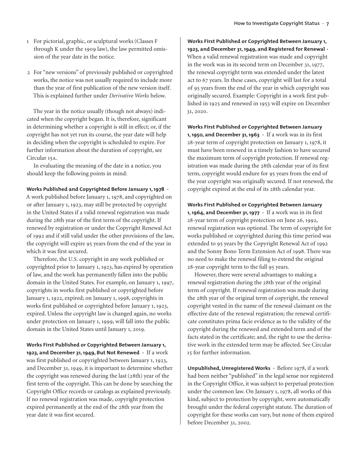- 1 For pictorial, graphic, or sculptural works (Classes F through K under the 1909 law), the law permitted omission of the year date in the notice.
- 2 For "new versions" of previously published or copyrighted works, the notice was not usually required to include more than the year of first publication of the new version itself. This is explained further under *Derivative Works* below.

The year in the notice usually (though not always) indicated when the copyright began. It is, therefore, significant in determining whether a copyright is still in effect; or, if the copyright has not yet run its course, the year date will help in deciding when the copyright is scheduled to expire. For further information about the duration of copyright, see Circular 15a.

In evaluating the meaning of the date in a notice, you should keep the following points in mind:

#### **Works Published and Copyrighted Before January 1, 1978 ·**

A work published before January 1, 1978, and copyrighted on or after January 1, 1923, may still be protected by copyright in the United States if a valid renewal registration was made during the 28th year of the first term of the copyright. If renewed by registration or under the Copyright Renewal Act of 1992 and if still valid under the other provisions of the law, the copyright will expire 95 years from the end of the year in which it was first secured.

Therefore, the U.S. copyright in any work published or copyrighted prior to January 1, 1923, has expired by operation of law, and the work has permanently fallen into the public domain in the United States. For example, on January 1, 1997, copyrights in works first published or copyrighted before January 1, 1922, expired; on January 1, 1998, copyrights in works first published or copyrighted before January 1, 1923, expired. Unless the copyright law is changed again, no works under protection on January 1, 1999, will fall into the public domain in the United States until January 1, 2019.

**Works First Published or Copyrighted Between January 1, 1923, and December 31, 1949, But Not Renewed ·** If a work was first published or copyrighted between January 1, 1923, and December 31, 1949, it is important to determine whether the copyright was renewed during the last (28th) year of the first term of the copyright. This can be done by searching the Copyright Office records or catalogs as explained previously. If no renewal registration was made, copyright protection expired permanently at the end of the 28th year from the year date it was first secured.

**Works First Published or Copyrighted Between January 1, 1923, and December 31, 1949, and Registered for Renewal ·** When a valid renewal registration was made and copyright in the work was in its second term on December 31, 1977, the renewal copyright term was extended under the latest act to 67 years. In these cases, copyright will last for a total of 95 years from the end of the year in which copyright was originally secured. Example: Copyright in a work first published in 1925 and renewed in 1953 will expire on December 31, 2020.

**Works First Published or Copyrighted Between January 1, 1950, and December 31, 1963 ·** If a work was in its first 28-year term of copyright protection on January 1, 1978, it must have been renewed in a timely fashion to have secured the maximum term of copyright protection. If renewal registration was made during the 28th calendar year of its first term, copyright would endure for 95 years from the end of the year copyright was originally secured. If not renewed, the copyright expired at the end of its 28th calendar year.

**Works First Published or Copyrighted Between January 1, 1964, and December 31, 1977 ·** If a work was in its first 28-year term of copyright protection on June 26, 1992, renewal registration was optional. The term of copyright for works published or copyrighted during this time period was extended to 95 years by the Copyright Renewal Act of 1992 and the Sonny Bono Term Extension Act of 1998. There was no need to make the renewal filing to extend the original 28-year copyright term to the full 95 years.

However, there were several advantages to making a renewal registration during the 28th year of the original term of copyright. If renewal registration was made during the 28th year of the original term of copyright, the renewal copyright vested in the name of the renewal claimant on the effective date of the renewal registration; the renewal certificate constitutes prima facie evidence as to the validity of the copyright during the renewed and extended term and of the facts stated in the certificate; and, the right to use the derivative work in the extended term may be affected. See Circular 15 for further information.

**Unpublished, Unregistered Works ·** Before 1978, if a work had been neither "published" in the legal sense nor registered in the Copyright Office, it was subject to perpetual protection under the common law. On January 1, 1978, all works of this kind, subject to protection by copyright, were automatically brought under the federal copyright statute. The duration of copyright for these works can vary, but none of them expired before December 31, 2002.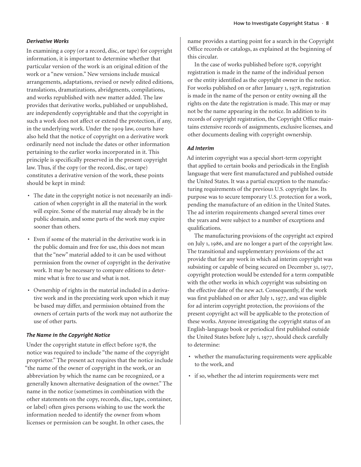#### *Derivative Works*

In examining a copy (or a record, disc, or tape) for copyright information, it is important to determine whether that particular version of the work is an original edition of the work or a "new version." New versions include musical arrangements, adaptations, revised or newly edited editions, translations, dramatizations, abridgments, compilations, and works republished with new matter added. The law provides that derivative works, published or unpublished, are independently copyrightable and that the copyright in such a work does not affect or extend the protection, if any, in the underlying work. Under the 1909 law, courts have also held that the notice of copyright on a derivative work ordinarily need not include the dates or other information pertaining to the earlier works incorporated in it. This principle is specifically preserved in the present copyright law. Thus, if the copy (or the record, disc, or tape) constitutes a derivative version of the work, these points should be kept in mind:

- The date in the copyright notice is not necessarily an indication of when copyright in all the material in the work will expire. Some of the material may already be in the public domain, and some parts of the work may expire sooner than others.
- Even if some of the material in the derivative work is in the public domain and free for use, this does not mean that the "new" material added to it can be used without permission from the owner of copyright in the derivative work. It may be necessary to compare editions to determine what is free to use and what is not.
- Ownership of rights in the material included in a derivative work and in the preexisting work upon which it may be based may differ, and permission obtained from the owners of certain parts of the work may not authorize the use of other parts.

#### *The Name in the Copyright Notice*

Under the copyright statute in effect before 1978, the notice was required to include "the name of the copyright proprietor." The present act requires that the notice include "the name of the owner of copyright in the work, or an abbreviation by which the name can be recognized, or a generally known alternative designation of the owner." The name in the notice (sometimes in combination with the other statements on the copy, records, disc, tape, container, or label) often gives persons wishing to use the work the information needed to identify the owner from whom licenses or permission can be sought. In other cases, the

name provides a starting point for a search in the Copyright Office records or catalogs, as explained at the beginning of this circular.

In the case of works published before 1978, copyright registration is made in the name of the individual person or the entity identified as the copyright owner in the notice. For works published on or after January 1, 1978, registration is made in the name of the person or entity owning all the rights on the date the registration is made. This may or may not be the name appearing in the notice. In addition to its records of copyright registration, the Copyright Office maintains extensive records of assignments, exclusive licenses, and other documents dealing with copyright ownership.

#### *Ad Interim*

Ad interim copyright was a special short-term copyright that applied to certain books and periodicals in the English language that were first manufactured and published outside the United States. It was a partial exception to the manufacturing requirements of the previous U.S. copyright law. Its purpose was to secure temporary U.S. protection for a work, pending the manufacture of an edition in the United States. The ad interim requirements changed several times over the years and were subject to a number of exceptions and qualifications.

The manufacturing provisions of the copyright act expired on July 1, 1986, and are no longer a part of the copyright law. The transitional and supplementary provisions of the act provide that for any work in which ad interim copyright was subsisting or capable of being secured on December 31, 1977, copyright protection would be extended for a term compatible with the other works in which copyright was subsisting on the effective date of the new act. Consequently, if the work was first published on or after July 1, 1977, and was eligible for ad interim copyright protection, the provisions of the present copyright act will be applicable to the protection of these works. Anyone investigating the copyright status of an English-language book or periodical first published outside the United States before July 1, 1977, should check carefully to determine:

- whether the manufacturing requirements were applicable to the work, and
- if so, whether the ad interim requirements were met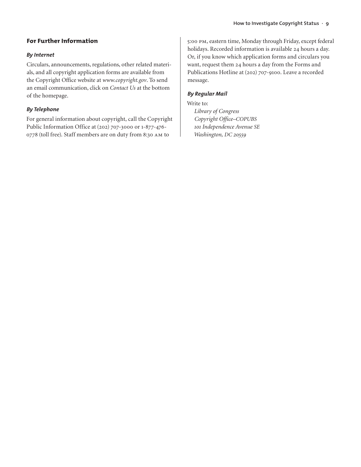# **For Further Information**

## *By Internet*

Circulars, announcements, regulations, other related materials, and all copyright application forms are available from the Copyright Office website at *www.copyright.gov*. To send an email communication, click on *Contact Us* at the bottom of the homepage.

## *By Telephone*

For general information about copyright, call the Copyright Public Information Office at (202) 707-3000 or 1-877-476- 0778 (toll free). Staff members are on duty from 8:30 am to

5:00 pm, eastern time, Monday through Friday, except federal holidays. Recorded information is available 24 hours a day. Or, if you know which application forms and circulars you want, request them 24 hours a day from the Forms and Publications Hotline at (202) 707-9100. Leave a recorded message.

## *By Regular Mail*

Write to:

*Library of Congress Copyright Office–COPUBS 101 Independence Avenue SE Washington, DC 20559*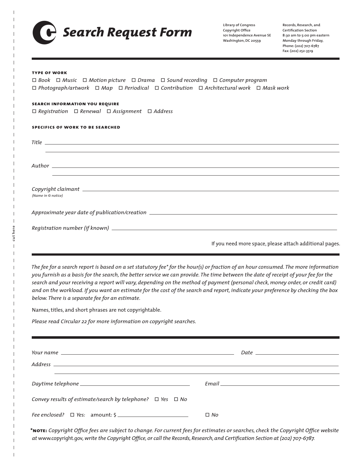

**Copyright Office 101 Independence Avenue SE Washington, DC 20559**

**Records, Research, and Certification Section 8:30 am to 5:00 pm eastern Monday through Friday, Phone: (202) 707-6787 Fax: (202) 252-3519**

#### **type of work**

ò *Book* ò *Music* ò *Motion picture* ò *Drama* ò *Sound recording* ò *Computer program* ò *Photograph/artwork* ò *Map* ò *Periodical* ò *Contribution* ò *Architectural work* ò *Mask work*

#### **search information you require**

ò *Registration* ò *Renewal* ò *Assignment* ò *Address*

**specifics of work to be searched**

*Title*

*Author*

cut here **cut here** *Copyright claimant (Name in © notice)*

*Approximate year date of publication/creation*

| Registration number (if known) |  |
|--------------------------------|--|
|                                |  |

If you need more space, please attach additional pages.

The fee for a search report is based on a set statutory fee\* for the hour(s) or fraction of an hour consumed. The more information you furnish as a basis for the search, the better service we can provide. The time between the date of receipt of your fee for the search and your receiving a report will vary, depending on the method of payment (personal check, money order, or credit card) and on the workload. If you want an estimate for the cost of the search and report, indicate your preference by checking the box *below. There is a separate fee for an estimate.*

Names, titles, and short phrases are not copyrightable.

*Please read Circular 22 for more information on copyright searches.*

|                                                                      | Email <u>Email</u> |
|----------------------------------------------------------------------|--------------------|
| Convey results of estimate/search by telephone? $\Box$ Yes $\Box$ No |                    |
|                                                                      | $\Box$ No          |

\*NOTE: Copyright Office fees are subject to change. For current fees for estimates or searches, check the Copyright Office website at www.copyright.gov, write the Copyright Office, or call the Records, Research, and Certification Section at (202) 707-6787.